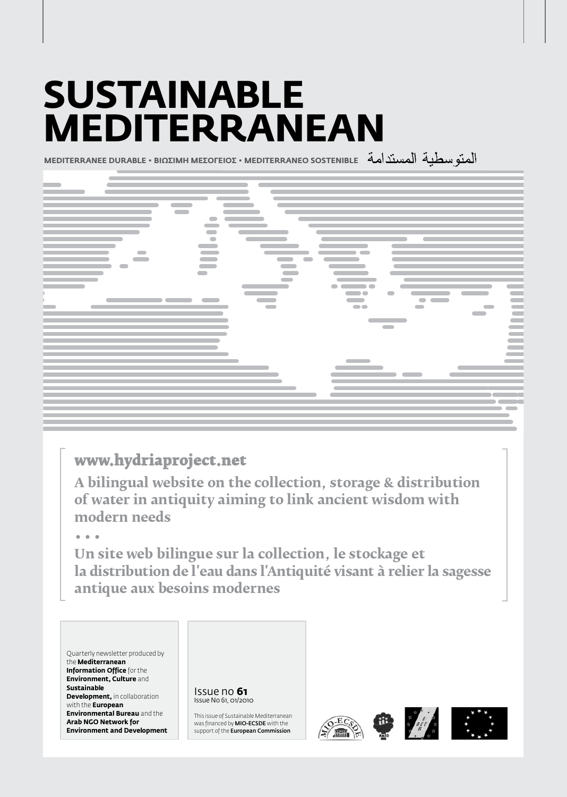# **Sustainable Mediterranean**

**MEDITERRANEE DURABLE • BIΩΣIMH MEΣOΓEIOΣ • MEDITERRANEO SOSTENIBLE**



## **www.hydriaproject.net**

**A bilingual website on the collection, storage & distribution of water in antiquity aiming to link ancient wisdom with modern needs**

**• • •**

**un site web bilingue sur la collection, le stockage et la distribution de l'eau dans l'Antiquité visant à relier la sagesse antique aux besoins modernes**

Quarterly newsletter produced by the **Mediterranean Information Office** for the **Environment, Culture** and **Sustainable Development, in collaboration** with the **European Environmental Bureau** and the **Arab NGO Network for Environment and Development**



This issue of Sustainable Mediterranean was financed by MIO-ECSDE with the support of the **European Commission** 





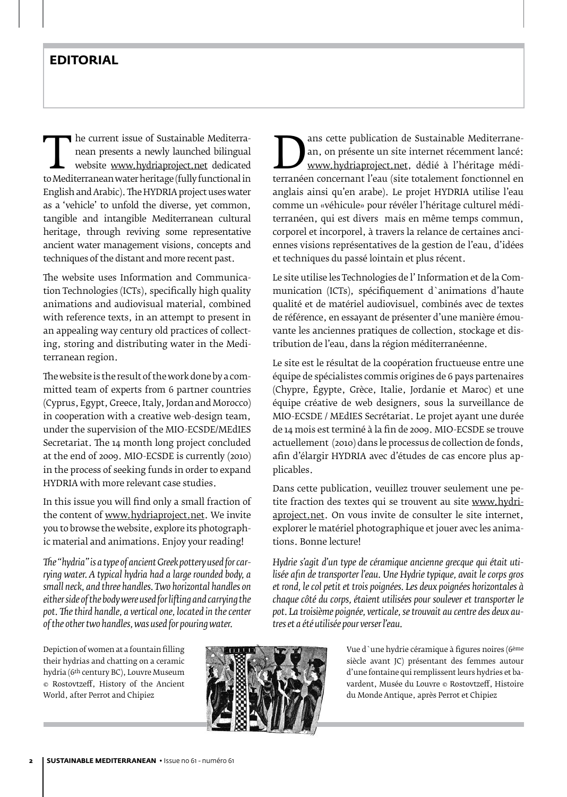### **EDITORIAL**

The current issue of Sustainable Mediterra-<br>
nean presents a newly launched bilingual<br>
website www.hydriaproject.net dedicated<br>
to Mediterranean water heritage (fully functional in<br>
Functional in nean presents a newly launched bilingual website www.hydriaproject.net dedicated English and Arabic). The HYDRIA project uses water as a 'vehicle' to unfold the diverse, yet common, tangible and intangible Mediterranean cultural heritage, through reviving some representative ancient water management visions, concepts and techniques of the distant and more recent past.

The website uses Information and Communication Technologies (ICTs), specifically high quality animations and audiovisual material, combined with reference texts, in an attempt to present in an appealing way century old practices of collecting, storing and distributing water in the Mediterranean region.

The website is the result of the work done by a committed team of experts from 6 partner countries (Cyprus, Egypt, Greece, Italy, Jordan and Morocco) in cooperation with a creative web-design team, under the supervision of the MIO-ECSDE/MEdIES Secretariat. The 14 month long project concluded at the end of 2009. MIO-ECSDE is currently (2010) in the process of seeking funds in order to expand HYDRIA with more relevant case studies.

In this issue you will find only a small fraction of the content of www.hydriaproject.net. We invite you to browse the website, explore its photographic material and animations. Enjoy your reading!

*The "hydria" is a type of ancient Greek pottery used for carrying water. A typical hydria had a large rounded body, a small neck, and three handles. Two horizontal handles on either side of the body were used for lifting and carrying the pot. The third handle, a vertical one, located in the center of the other two handles, was used for pouring water.*

Depiction of women at a fountain filling their hydrias and chatting on a ceramic hydria (6th century BC), Louvre Museum © Rostovtzeff, History of the Ancient World, after Perrot and Chipiez

ans cette publication de sustantable Mediterrane-<br>
an, on présente un site internet récemment lancé:<br>
www.hydriaproject.net, dédié à l'héritage médi-<br>
terranéen concernant l'eau (site totalement fonctionnel en<br>
anglais ain an, on présente un site internet récemment lancé: www.hydriaproject.net, dédié à l'héritage médianglais ainsi qu'en arabe). Le projet HYDRIA utilise l'eau comme un «véhicule» pour révéler l'héritage culturel méditerranéen, qui est divers mais en même temps commun, corporel et incorporel, à travers la relance de certaines anciennes visions représentatives de la gestion de l'eau, d'idées et techniques du passé lointain et plus récent.

Le site utilise les Technologies de l' Information et de la Communication (ICTs), spécifiquement d`animations d'haute qualité et de matériel audiovisuel, combinés avec de textes de référence, en essayant de présenter d'une manière émouvante les anciennes pratiques de collection, stockage et distribution de l'eau, dans la région méditerranéenne.

Le site est le résultat de la coopération fructueuse entre une équipe de spécialistes commis origines de 6 pays partenaires (Chypre, Égypte, Grèce, Italie, Jordanie et Maroc) et une équipe créative de web designers, sous la surveillance de MIO-ECSDE / MEdIES Secrétariat. Le projet ayant une durée de 14 mois est terminé à la fin de 2009. MIO-ECSDE se trouve actuellement (2010) dans le processus de collection de fonds, afin d'élargir HYDRIA avec d'études de cas encore plus applicables.

Dans cette publication, veuillez trouver seulement une petite fraction des textes qui se trouvent au site www.hydriaproject.net. On vous invite de consulter le site internet, explorer le matériel photographique et jouer avec les animations. Bonne lecture!

*Hydrie s'agit d'un type de céramique ancienne grecque qui était utilisée afin de transporter l'eau. Une Hydrie typique, avait le corps gros et rond, le col petit et trois poignées. Les deux poignées horizontales à chaque côté du corps, étaient utilisées pour soulever et transporter le pot. La troisième poignée, verticale, se trouvait au centre des deux autres et a été utilisée pour verser l'eau.*



Vue d`une hydrie céramique à figures noires (6ème siècle avant JC) présentant des femmes autour d'une fontaine qui remplissent leurs hydries et bavardent, Musée du Louvre © Rostovtzeff, Histoire du Monde Antique, après Perrot et Chipiez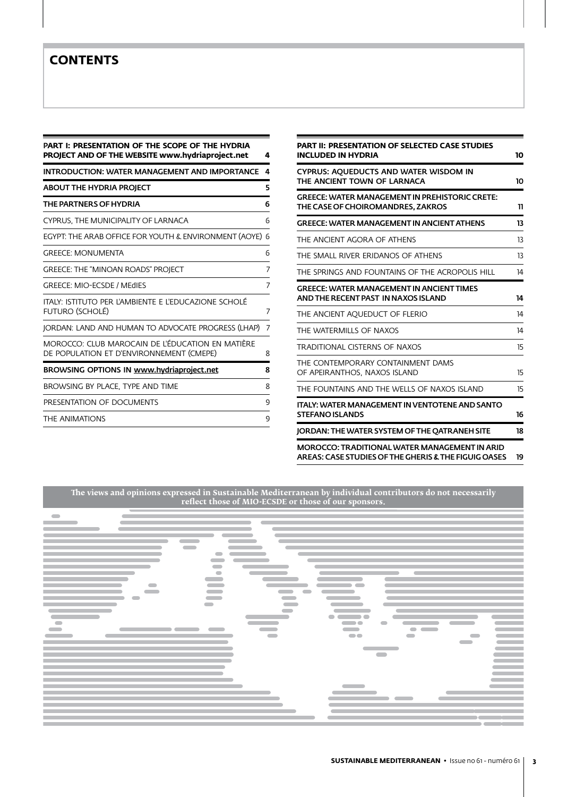### **CONTENTS**

| PART I: PRESENTATION OF THE SCOPE OF THE HYDRIA<br>PROJECT AND OF THE WEBSITE www.hydriaproject.net<br>4 |   |  |  |  |  |  |  |
|----------------------------------------------------------------------------------------------------------|---|--|--|--|--|--|--|
| <b>INTRODUCTION: WATER MANAGEMENT AND IMPORTANCE</b>                                                     | 4 |  |  |  |  |  |  |
| ABOUT THE HYDRIA PROJECT                                                                                 | 5 |  |  |  |  |  |  |
| THE PARTNERS OF HYDRIA                                                                                   | 6 |  |  |  |  |  |  |
| CYPRUS, THE MUNICIPALITY OF LARNACA                                                                      | 6 |  |  |  |  |  |  |
| EGYPT: THE ARAB OFFICE FOR YOUTH & ENVIRONMENT (AOYE)                                                    | 6 |  |  |  |  |  |  |
| <b>GREECE: MONUMENTA</b>                                                                                 | 6 |  |  |  |  |  |  |
| <b>GREECE: THE "MINOAN ROADS" PROJECT</b>                                                                | 7 |  |  |  |  |  |  |
| <b>GREECE: MIO-ECSDE / MEdIES</b>                                                                        | 7 |  |  |  |  |  |  |
| italy: istituto per l'ambiente e l'educazione scholè<br>FUTURO (SCHOLÉ)                                  | 7 |  |  |  |  |  |  |
| JORDAN: LAND AND HUMAN TO ADVOCATE PROGRESS (LHAP)                                                       | 7 |  |  |  |  |  |  |
| MOROCCO: CLUB MAROCAIN DE L'ÉDUCATION EN MATIÈRE<br>DE POPULATION ET D'ENVIRONNEMENT (CMEPE)             | 8 |  |  |  |  |  |  |
| BROWSING OPTIONS IN www.hydriaproject.net                                                                | 8 |  |  |  |  |  |  |
| BROWSING BY PLACE. TYPE AND TIME                                                                         | 8 |  |  |  |  |  |  |
| PRESENTATION OF DOCUMENTS                                                                                | 9 |  |  |  |  |  |  |
| THE ANIMATIONS                                                                                           | 9 |  |  |  |  |  |  |

| <b>PART II: PRESENTATION OF SELECTED CASE STUDIES</b><br><b>INCLUDED IN HYDRIA</b>                           |    |  |  |  |  |
|--------------------------------------------------------------------------------------------------------------|----|--|--|--|--|
| CYPRUS: AOUEDUCTS AND WATER WISDOM IN<br>THE ANCIENT TOWN OF LARNACA                                         |    |  |  |  |  |
| <b>GREECE: WATER MANAGEMENT IN PREHISTORIC CRETE:</b><br>THE CASE OF CHOIROMANDRES. ZAKROS                   | 11 |  |  |  |  |
| <b>GREECE: WATER MANAGEMENT IN ANCIENT ATHENS</b>                                                            | 13 |  |  |  |  |
| THE ANCIENT AGORA OF ATHENS                                                                                  |    |  |  |  |  |
| THE SMALL RIVER ERIDANOS OF ATHENS                                                                           |    |  |  |  |  |
| THE SPRINGS AND FOUNTAINS OF THE ACROPOLIS HILL                                                              | 14 |  |  |  |  |
| <b>GREECE: WATER MANAGEMENT IN ANCIENT TIMES</b><br>AND THE RECENT PAST IN NAXOS ISLAND                      | 14 |  |  |  |  |
| THE ANCIENT AOUEDUCT OF FLERIO                                                                               | 14 |  |  |  |  |
| THE WATERMILLS OF NAXOS                                                                                      |    |  |  |  |  |
| <b>TRADITIONAL CISTERNS OF NAXOS</b>                                                                         |    |  |  |  |  |
| THE CONTEMPORARY CONTAINMENT DAMS<br>OF APEIRANTHOS, NAXOS ISLAND                                            | 15 |  |  |  |  |
| THE FOUNTAINS AND THE WELLS OF NAXOS ISLAND                                                                  | 15 |  |  |  |  |
| <b>ITALY: WATER MANAGEMENT IN VENTOTENE AND SANTO</b><br><b>STEFANO ISLANDS</b>                              | 16 |  |  |  |  |
| JORDAN: THE WATER SYSTEM OF THE OATRANEH SITE                                                                | 18 |  |  |  |  |
| <b>MOROCCO: TRADITIONAL WATER MANAGEMENT IN ARID</b><br>AREAS: CASE STUDIES OF THE GHERIS & THE FIGUIG OASES | 19 |  |  |  |  |

**The views and opinions expressed in Sustainable Mediterranean by individual contributors do not necessarily reflect those of MIO-ECSDE or those of our sponsors.**

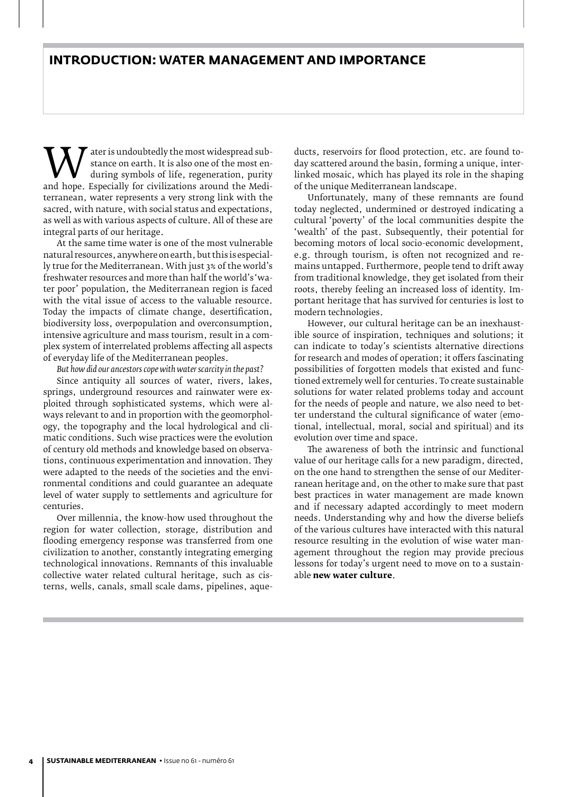Water is undoubtedly the most widespread sub-<br>during symbols of life, regeneration, purity<br>and hope. Especially for civilizations around the Medi-<br>terranean. water represents a very strong link with the stance on earth. It is also one of the most enduring symbols of life, regeneration, purity terranean, water represents a very strong link with the sacred, with nature, with social status and expectations, as well as with various aspects of culture. All of these are integral parts of our heritage.

At the same time water is one of the most vulnerable natural resources, anywhere on earth, but this is especially true for the Mediterranean. With just 3% of the world's freshwater resources and more than half the world's 'water poor' population, the Mediterranean region is faced with the vital issue of access to the valuable resource. Today the impacts of climate change, desertification, biodiversity loss, overpopulation and overconsumption, intensive agriculture and mass tourism, result in a complex system of interrelated problems affecting all aspects of everyday life of the Mediterranean peoples.

*But how did our ancestors cope with water scarcity in the past?*

Since antiquity all sources of water, rivers, lakes, springs, underground resources and rainwater were exploited through sophisticated systems, which were always relevant to and in proportion with the geomorphology, the topography and the local hydrological and climatic conditions. Such wise practices were the evolution of century old methods and knowledge based on observations, continuous experimentation and innovation. They were adapted to the needs of the societies and the environmental conditions and could guarantee an adequate level of water supply to settlements and agriculture for centuries.

Over millennia, the know-how used throughout the region for water collection, storage, distribution and flooding emergency response was transferred from one civilization to another, constantly integrating emerging technological innovations. Remnants of this invaluable collective water related cultural heritage, such as cisterns, wells, canals, small scale dams, pipelines, aqueducts, reservoirs for flood protection, etc. are found today scattered around the basin, forming a unique, interlinked mosaic, which has played its role in the shaping of the unique Mediterranean landscape.

Unfortunately, many of these remnants are found today neglected, undermined or destroyed indicating a cultural 'poverty' of the local communities despite the 'wealth' of the past. Subsequently, their potential for becoming motors of local socio-economic development, e.g. through tourism, is often not recognized and remains untapped. Furthermore, people tend to drift away from traditional knowledge, they get isolated from their roots, thereby feeling an increased loss of identity. Important heritage that has survived for centuries is lost to modern technologies.

However, our cultural heritage can be an inexhaustible source of inspiration, techniques and solutions; it can indicate to today's scientists alternative directions for research and modes of operation; it offers fascinating possibilities of forgotten models that existed and functioned extremely well for centuries. To create sustainable solutions for water related problems today and account for the needs of people and nature, we also need to better understand the cultural significance of water (emotional, intellectual, moral, social and spiritual) and its evolution over time and space.

The awareness of both the intrinsic and functional value of our heritage calls for a new paradigm, directed, on the one hand to strengthen the sense of our Mediterranean heritage and, on the other to make sure that past best practices in water management are made known and if necessary adapted accordingly to meet modern needs. Understanding why and how the diverse beliefs of the various cultures have interacted with this natural resource resulting in the evolution of wise water management throughout the region may provide precious lessons for today's urgent need to move on to a sustainable **new water culture**.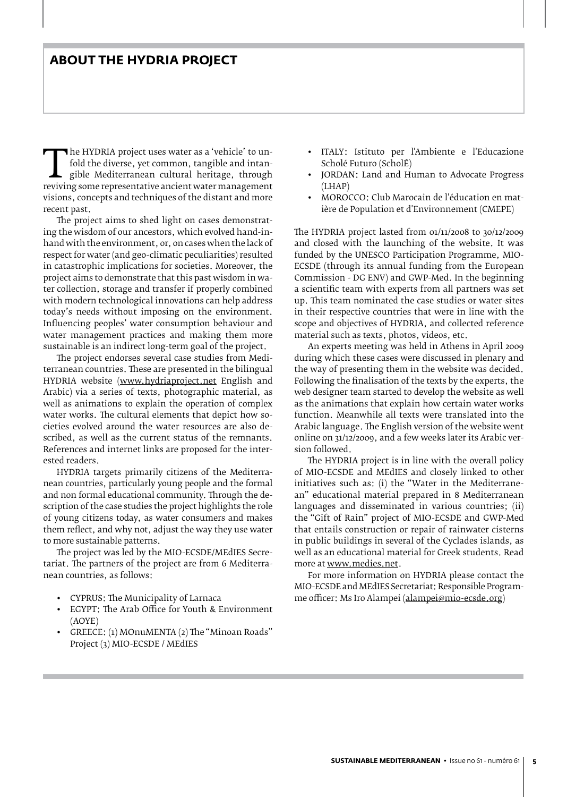### **About the HYDRIA project**

The HTDRIA project uses water as a vehicle to un-<br>fold the diverse, yet common, tangible and intan-<br>gible Mediterranean cultural heritage, through<br>reviving some representative ancient water management<br>visions concents and fold the diverse, yet common, tangible and intangible Mediterranean cultural heritage, through visions, concepts and techniques of the distant and more recent past.

The project aims to shed light on cases demonstrating the wisdom of our ancestors, which evolved hand-inhand with the environment, or, on cases when the lack of respect for water (and geo-climatic peculiarities) resulted in catastrophic implications for societies. Moreover, the project aims to demonstrate that this past wisdom in water collection, storage and transfer if properly combined with modern technological innovations can help address today's needs without imposing on the environment. Influencing peoples' water consumption behaviour and water management practices and making them more sustainable is an indirect long-term goal of the project.

The project endorses several case studies from Mediterranean countries. These are presented in the bilingual HYDRIA website (www.hydriaproject.net English and Arabic) via a series of texts, photographic material, as well as animations to explain the operation of complex water works. The cultural elements that depict how societies evolved around the water resources are also described, as well as the current status of the remnants. References and internet links are proposed for the interested readers.

HYDRIA targets primarily citizens of the Mediterranean countries, particularly young people and the formal and non formal educational community. Through the description of the case studies the project highlights the role of young citizens today, as water consumers and makes them reflect, and why not, adjust the way they use water to more sustainable patterns.

The project was led by the MIO-ECSDE/MEdIES Secretariat. The partners of the project are from 6 Mediterranean countries, as follows:

- • CYPRUS: The Municipality of Larnaca
- **EGYPT: The Arab Office for Youth & Environment** (AOYE)
- GREECE: (1) MOnuMENTA (2) The "Minoan Roads" Project (3) MIO-ECSDE / MEdIES
- • ITALY: Istituto per l'Ambiente e l'Educazione Scholé Futuro (ScholÉ)
- JORDAN: Land and Human to Advocate Progress (LHAP)
- • MOROCCO: Club Marocain de l'éducation en matière de Population et d'Environnement (CMEPE)

The HYDRIA project lasted from 01/11/2008 to 30/12/2009 and closed with the launching of the website. It was funded by the UNESCO Participation Programme, MIO-ECSDE (through its annual funding from the European Commission - DG ENV) and GWP-Med. In the beginning a scientific team with experts from all partners was set up. This team nominated the case studies or water-sites in their respective countries that were in line with the scope and objectives of HYDRIA, and collected reference material such as texts, photos, videos, etc.

An experts meeting was held in Athens in April 2009 during which these cases were discussed in plenary and the way of presenting them in the website was decided. Following the finalisation of the texts by the experts, the web designer team started to develop the website as well as the animations that explain how certain water works function. Meanwhile all texts were translated into the Arabic language. The English version of the website went online on 31/12/2009, and a few weeks later its Arabic version followed.

The HYDRIA project is in line with the overall policy of MIO-ECSDE and MEdIES and closely linked to other initiatives such as: (i) the "water in the Mediterranean" educational material prepared in 8 Mediterranean languages and disseminated in various countries; (ii) the "Gift of Rain" project of MIO-ECSDE and GWP-Med that entails construction or repair of rainwater cisterns in public buildings in several of the Cyclades islands, as well as an educational material for Greek students. Read more at www.medies.net.

For more information on HYDRIA please contact the MIO-ECSDE and MEdIES Secretariat: Responsible Programme officer: Ms Iro Alampei (alampei@mio-ecsde.org)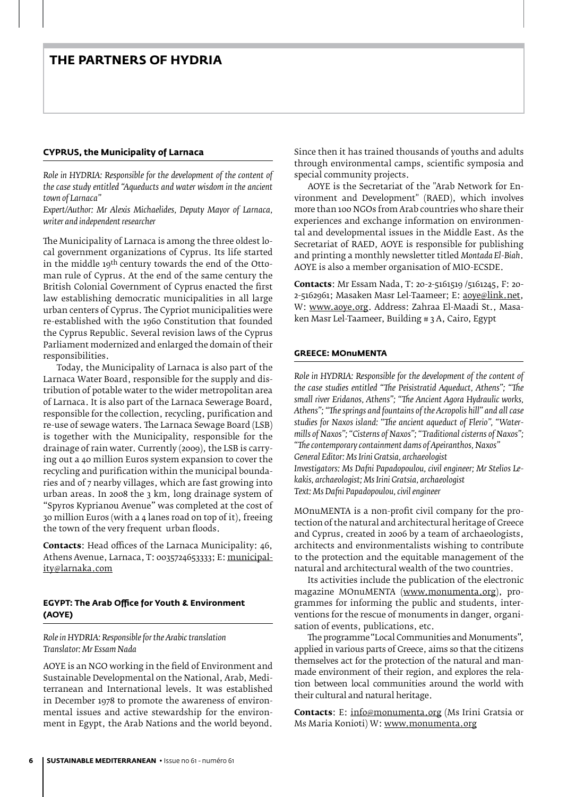### **CYPRUS, the Municipality of Larnaca**

*Role in HYDRIA: Responsible for the development of the content of the case study entitled "aqueducts and water wisdom in the ancient town of Larnaca"* 

*Expert/Author: Mr Alexis Michaelides, Deputy Mayor of Larnaca, writer and independent researcher*

The Municipality of Larnaca is among the three oldest local government organizations of Cyprus. Its life started in the middle 19<sup>th</sup> century towards the end of the Ottoman rule of Cyprus. At the end of the same century the British Colonial Government of Cyprus enacted the first law establishing democratic municipalities in all large urban centers of Cyprus. The Cypriot municipalities were re-established with the 1960 Constitution that founded the Cyprus Republic. Several revision laws of the Cyprus Parliament modernized and enlarged the domain of their responsibilities.

Today, the Municipality of Larnaca is also part of the Larnaca Water Board, responsible for the supply and distribution of potable water to the wider metropolitan area of Larnaca. It is also part of the Larnaca Sewerage Board, responsible for the collection, recycling, purification and re-use of sewage waters. The Larnaca Sewage Board (LSB) is together with the Municipality, responsible for the drainage of rain water. Currently (2009), the LSB is carrying out a 40 million Euros system expansion to cover the recycling and purification within the municipal boundaries and of 7 nearby villages, which are fast growing into urban areas. In 2008 the 3 km, long drainage system of "Spyros Kyprianou Avenue" was completed at the cost of 30 million Euros (with a 4 lanes road on top of it), freeing the town of the very frequent urban floods.

**Contacts**: Head offices of the Larnaca Municipality: 46, Athens Avenue, Larnaca, T: 0035724653333; E: municipality@larnaka.com

### **EGYPT: The Arab Office for Youth & Environment (AOYE)**

### *Role in HYDRIA: Responsible for the Arabic translation Translator: Mr Essam Nada*

AOYE is an NGO working in the field of Environment and Sustainable Developmental on the National, Arab, Mediterranean and International levels. It was established in December 1978 to promote the awareness of environmental issues and active stewardship for the environment in Egypt, the Arab Nations and the world beyond.

Since then it has trained thousands of youths and adults through environmental camps, scientific symposia and special community projects.

AOYE is the Secretariat of the "Arab Network for Environment and Development" (RAED), which involves more than 100 NGOs from Arab countries who share their experiences and exchange information on environmental and developmental issues in the Middle East. As the Secretariat of RAED, AOYE is responsible for publishing and printing a monthly newsletter titled *Montada El-Biah*. AOYE is also a member organisation of MIO-ECSDE.

**Contacts**: Mr Essam Nada, T: 20-2-5161519 /5161245, F: 20- 2-5162961; Masaken Masr Lel-Taameer; E: aoye@link.net, W: www.aoye.org. Address: Zahraa El-Maadi St., Masaken Masr Lel-Taameer, Building # 3 A, Cairo, Egypt

### **GREECE: MOnuMENTA**

*Role in HYDRIA: Responsible for the development of the content of the case studies entitled "The Peisistratid Aqueduct, Athens"; "The small river Eridanos, Athens"; "The Ancient Agora Hydraulic works, Athens"; "The springs and fountains of the Acropolis hill" and all case studies for Naxos island: "The ancient aqueduct of Flerio", "Watermills of Naxos"; "Cisterns of Naxos"; "Traditional cisterns of Naxos"; "The contemporary containment dams of Apeiranthos, Naxos" General Editor: Ms Irini Gratsia, archaeologist Investigators: Ms Dafni Papadopoulou, civil engineer; Mr Stelios Lekakis, archaeologist; Ms Irini Gratsia, archaeologist Text: Ms Dafni Papadopoulou, civil engineer*

MOnuMENTA is a non-profit civil company for the protection of the natural and architectural heritage of Greece and Cyprus, created in 2006 by a team of archaeologists, architects and environmentalists wishing to contribute to the protection and the equitable management of the natural and architectural wealth of the two countries.

Its activities include the publication of the electronic magazine MOnuMENTA (www.monumenta.org), programmes for informing the public and students, interventions for the rescue of monuments in danger, organisation of events, publications, etc.

The programme"Local Communities and Monuments", applied in various parts of Greece, aims so that the citizens themselves act for the protection of the natural and manmade environment of their region, and explores the relation between local communities around the world with their cultural and natural heritage.

**Contacts**: E: info@monumenta.org (Ms Irini Gratsia or Ms Maria Konioti) W: www.monumenta.org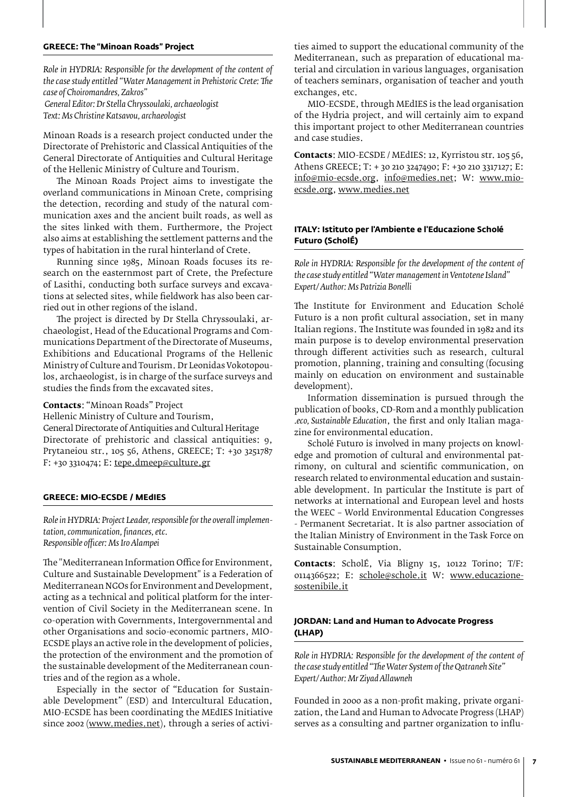### **GREECE: The "Minoan Roads" Project**

*Role in HYDRIA: Responsible for the development of the content of the case study entitled "Water Management in Prehistoric Crete: The case of Choiromandres, Zakros" General Editor: Dr Stella Chryssoulaki, archaeologist Text: Ms Christine Katsavou, archaeologist*

Minoan Roads is a research project conducted under the Directorate of Prehistoric and Classical Antiquities of the General Directorate of Antiquities and Cultural Heritage of the Hellenic Ministry of Culture and Tourism.

The Minoan Roads Project aims to investigate the overland communications in Minoan Crete, comprising the detection, recording and study of the natural communication axes and the ancient built roads, as well as the sites linked with them. Furthermore, the Project also aims at establishing the settlement patterns and the types of habitation in the rural hinterland of Crete.

Running since 1985, Minoan Roads focuses its research on the easternmost part of Crete, the Prefecture of Lasithi, conducting both surface surveys and excavations at selected sites, while fieldwork has also been carried out in other regions of the island.

The project is directed by Dr Stella Chryssoulaki, archaeologist, Head of the Educational Programs and Communications Department of the Directorate of Museums, Exhibitions and Educational Programs of the Hellenic Ministry of Culture and Tourism. Dr Leonidas Vokotopoulos, archaeologist, is in charge of the surface surveys and studies the finds from the excavated sites.

### **Contacts**: "Minoan Roads" Project

Hellenic Ministry of Culture and Tourism, General Directorate of Antiquities and Cultural Heritage Directorate of prehistoric and classical antiquities: 9, Prytaneiou str., 105 56, Athens, GREECE; T: +30 3251787 F: +30 3310474; E: tepe.dmeep@culture.gr

### **GREECE: MIO-ECSDE / MEdIES**

*Role in HYDRIA: Project Leader, responsible for the overall implementation, communication, finances, etc. Responsible officer: Ms Iro Alampei* 

The "Mediterranean Information Office for Environment, Culture and Sustainable Development" is a Federation of Mediterranean NGOs for Environment and Development, acting as a technical and political platform for the intervention of Civil Society in the Mediterranean scene. In co-operation with Governments, Intergovernmental and other Organisations and socio-economic partners, MIO-ECSDE plays an active role in the development of policies, the protection of the environment and the promotion of the sustainable development of the Mediterranean countries and of the region as a whole.

Especially in the sector of "Education for Sustainable Development" (ESD) and Intercultural Education, MIO-ECSDE has been coordinating the MEdIES Initiative since 2002 (www.medies.net), through a series of activi-

ties aimed to support the educational community of the Mediterranean, such as preparation of educational material and circulation in various languages, organisation of teachers seminars, organisation of teacher and youth exchanges, etc.

MIO-ECSDE, through MEdIES is the lead organisation of the Hydria project, and will certainly aim to expand this important project to other Mediterranean countries and case studies.

**Contacts**: MIO-ECSDE / MEdIES: 12, Kyrristou str. 105 56, Athens GREECE; T: + 30 210 3247490; F: +30 210 3317127; E: info@mio-ecsde.org, info@medies.net; W: www.mioecsde.org, www.medies.net

### **ITALY: Istituto per l'Ambiente e l'Educazione Scholé Futuro (ScholÉ)**

*Role in HYDRIA: Responsible for the development of the content of the case study entitled "Water management in Ventotene Island" Expert/ Author: Ms Patrizia Bonelli*

The Institute for Environment and Education Scholé Futuro is a non profit cultural association, set in many Italian regions. The Institute was founded in 1982 and its main purpose is to develop environmental preservation through different activities such as research, cultural promotion, planning, training and consulting (focusing mainly on education on environment and sustainable development).

Information dissemination is pursued through the publication of books, CD-Rom and a monthly publication *.eco, Sustainable Education*, the first and only Italian magazine for environmental education.

Scholé Futuro is involved in many projects on knowledge and promotion of cultural and environmental patrimony, on cultural and scientific communication, on research related to environmental education and sustainable development. In particular the Institute is part of networks at international and European level and hosts the WEEC – World Environmental Education Congresses - Permanent Secretariat. It is also partner association of the Italian Ministry of Environment in the Task Force on Sustainable Consumption.

**Contacts**: ScholÉ, Via Bligny 15, 10122 Torino; T/F: 0114366522; E: schole@schole.it W: www.educazionesostenibile.it

### **JORDAN: Land and Human to Advocate Progress (LHAP)**

*Role in HYDRIA: Responsible for the development of the content of the case study entitled "The Water System of the Qatraneh Site" Expert/ Author: Mr Ziyad Allawneh*

Founded in 2000 as a non-profit making, private organization, the Land and Human to Advocate Progress (LHAP) serves as a consulting and partner organization to influ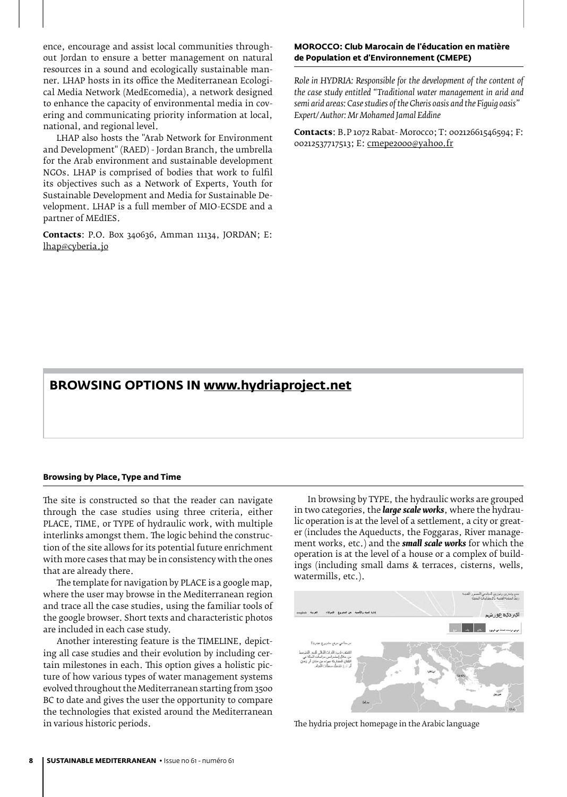ence, encourage and assist local communities throughout Jordan to ensure a better management on natural resources in a sound and ecologically sustainable manner. LHAP hosts in its office the Mediterranean Ecological Media Network (MedEcomedia), a network designed to enhance the capacity of environmental media in covering and communicating priority information at local, national, and regional level.

LHAP also hosts the "Arab Network for Environment and Development" (RAED) - Jordan Branch, the umbrella for the Arab environment and sustainable development NGOs. LHAP is comprised of bodies that work to fulfil its objectives such as a Network of Experts, Youth for Sustainable Development and Media for Sustainable Development. LHAP is a full member of MIO-ECSDE and a partner of MEdIES.

**Contacts**: P.O. Box 340636, Amman 11134, JORDAN; E: lhap@cyberia.jo

### **MOROCCO: Club Marocain de l'éducation en matière de Population et d'Environnement (CMEPE)**

*Role in HYDRIA: Responsible for the development of the content of the case study entitled "Traditional water management in arid and semi arid areas: Case studies of the Gheris oasis and the Figuig oasis" Expert/ Author: Mr Mohamed Jamal Eddine*

**Contacts**: B.P 1072 Rabat- Morocco; T: 00212661546594; F: 00212537717513; E: cmepe2000@yahoo.fr

### **Browsing options in www.hydriaproject.net**

#### **Browsing by Place, Type and Time**

The site is constructed so that the reader can navigate through the case studies using three criteria, either PLACE, TIME, or TYPE of hydraulic work, with multiple interlinks amongst them. The logic behind the construction of the site allows for its potential future enrichment with more cases that may be in consistency with the ones that are already there.

The template for navigation by PLACE is a google map, where the user may browse in the Mediterranean region and trace all the case studies, using the familiar tools of the google browser. Short texts and characteristic photos are included in each case study.

Another interesting feature is the TIMELINE, depicting all case studies and their evolution by including certain milestones in each. This option gives a holistic picture of how various types of water management systems evolved throughout the Mediterranean starting from 3500 BC to date and gives the user the opportunity to compare the technologies that existed around the Mediterranean in various historic periods.

In browsing by TYPE, the hydraulic works are grouped in two categories, the *large scale works*, where the hydraulic operation is at the level of a settlement, a city or greater (includes the Aqueducts, the Foggaras, River management works, etc.) and the *small scale works* for which the operation is at the level of a house or a complex of buildings (including small dams & terraces, cisterns, wells, watermills, etc.).



The hydria project homepage in the Arabic language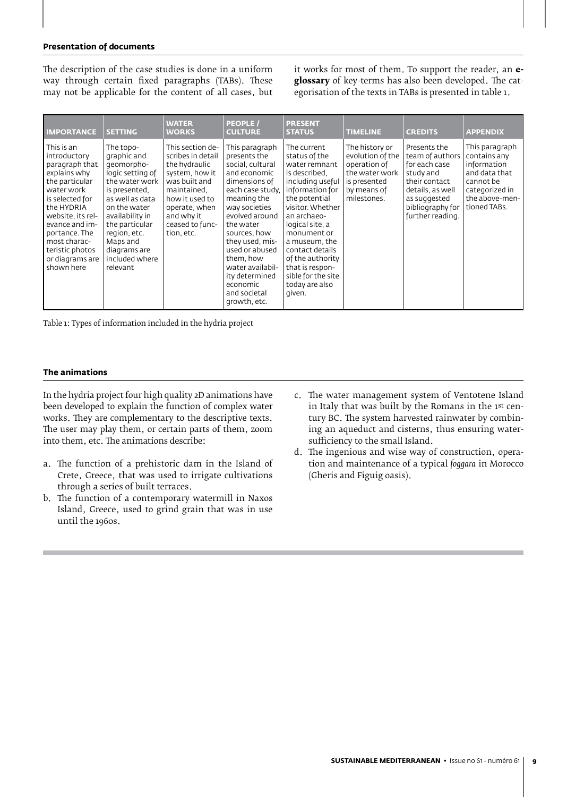#### **Presentation of documents**

The description of the case studies is done in a uniform way through certain fixed paragraphs (TABs). These may not be applicable for the content of all cases, but it works for most of them. To support the reader, an **eglossary** of key-terms has also been developed. The categorisation of the texts in TABs is presented in table 1.

| <b>IMPORTANCE</b>                                                                                                                                                                                                                                         | <b>SETTING</b>                                                                                                                                                                                                                                  | <b>WATER</b><br><b>WORKS</b>                                                                                                                                                               | <b>PEOPLE /</b><br><b>CULTURE</b>                                                                                                                                                                                                                                                                                          | <b>PRESENT</b><br><b>STATUS</b>                                                                                                                                                                                                                                                                                          | <b>TIMELINE</b>                                                                                                    | <b>CREDITS</b>                                                                                                                                             | <b>APPENDIX</b>                                                                                                                 |
|-----------------------------------------------------------------------------------------------------------------------------------------------------------------------------------------------------------------------------------------------------------|-------------------------------------------------------------------------------------------------------------------------------------------------------------------------------------------------------------------------------------------------|--------------------------------------------------------------------------------------------------------------------------------------------------------------------------------------------|----------------------------------------------------------------------------------------------------------------------------------------------------------------------------------------------------------------------------------------------------------------------------------------------------------------------------|--------------------------------------------------------------------------------------------------------------------------------------------------------------------------------------------------------------------------------------------------------------------------------------------------------------------------|--------------------------------------------------------------------------------------------------------------------|------------------------------------------------------------------------------------------------------------------------------------------------------------|---------------------------------------------------------------------------------------------------------------------------------|
| This is an<br>introductory<br>paragraph that<br>explains why<br>the particular<br>water work<br>is selected for<br>the HYDRIA<br>website, its rel-<br>evance and im-<br>portance. The<br>most charac-<br>teristic photos<br>or diagrams are<br>shown here | The topo-<br>graphic and<br>qeomorpho-<br>logic setting of<br>the water work<br>is presented.<br>as well as data<br>on the water<br>availability in<br>the particular<br>region, etc.<br>Maps and<br>diagrams are<br>included where<br>relevant | This section de-<br>scribes in detail<br>the hydraulic<br>system, how it<br>was built and<br>maintained.<br>how it used to<br>operate, when<br>and why it<br>ceased to func-<br>tion, etc. | This paragraph<br>presents the<br>social, cultural<br>and economic<br>dimensions of<br>each case study.<br>meaning the<br>way societies<br>evolved around<br>the water<br>sources, how<br>they used, mis-<br>used or abused<br>them, how<br>water availabil-<br>ity determined<br>economic<br>and societal<br>growth, etc. | The current<br>status of the<br>water remnant<br>is described.<br>including useful<br>information for<br>the potential<br>visitor. Whether<br>an archaeo-<br>logical site, a<br>monument or<br>a museum, the<br>contact details<br>of the authority<br>that is respon-<br>sible for the site<br>today are also<br>given. | The history or<br>evolution of the<br>operation of<br>the water work<br>is presented<br>by means of<br>milestones. | Presents the<br>team of authors<br>for each case<br>study and<br>their contact<br>details, as well<br>as suggested<br>bibliography for<br>further reading. | This paragraph<br>contains any<br>information<br>and data that<br>cannot be<br>categorized in<br>the above-men-<br>tioned TABs. |

Table 1: Types of information included in the hydria project

### **The animations**

In the hydria project four high quality 2D animations have been developed to explain the function of complex water works. They are complementary to the descriptive texts. The user may play them, or certain parts of them, zoom into them, etc. The animations describe:

- a. The function of a prehistoric dam in the Island of Crete, Greece, that was used to irrigate cultivations through a series of built terraces.
- b. The function of a contemporary watermill in Naxos Island, Greece, used to grind grain that was in use until the 1960s.
- c. The water management system of Ventotene Island in Italy that was built by the Romans in the 1st century BC. The system harvested rainwater by combining an aqueduct and cisterns, thus ensuring watersufficiency to the small Island.
- d. The ingenious and wise way of construction, operation and maintenance of a typical *foggara* in Morocco (Gheris and Figuig oasis).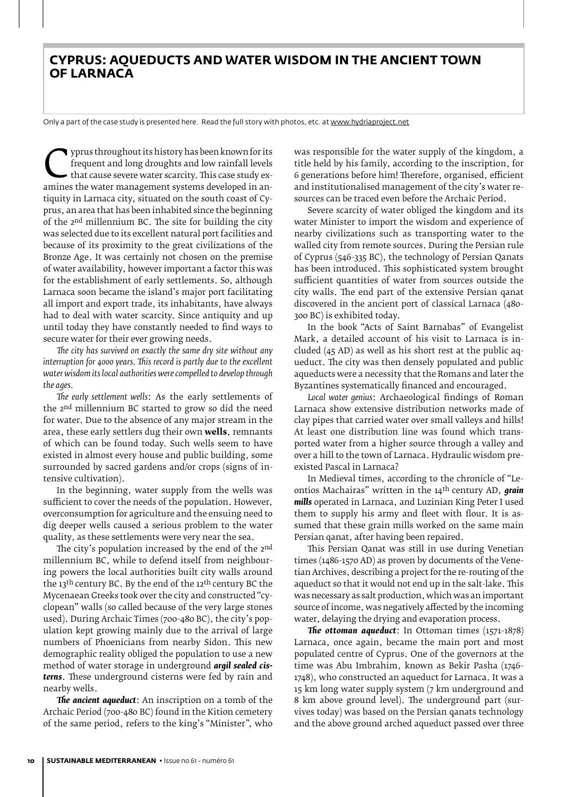### **Cyprus: aqueducts and water wisdom in the ancient town of Larnaca**

Only a part of the case study is presented here. Read the full story with photos, etc. at www.hydriaproject.net

Figure throughout its history has been known for its<br>
frequent and long droughts and low rainfall levels<br>
that cause severe water scarcity. This case study ex-<br>
amines the water management systems developed in an-<br>
tiquity frequent and long droughts and low rainfall levels that cause severe water scarcity. This case study extiquity in Larnaca city, situated on the south coast of Cyprus, an area that has been inhabited since the beginning of the 2nd millennium BC. The site for building the city was selected due to its excellent natural port facilities and because of its proximity to the great civilizations of the Bronze Age. It was certainly not chosen on the premise of water availability, however important a factor this was for the establishment of early settlements. So, although Larnaca soon became the island's major port facilitating all import and export trade, its inhabitants, have always had to deal with water scarcity. Since antiquity and up until today they have constantly needed to find ways to secure water for their ever growing needs.

*The city has survived on exactly the same dry site without any interruption for 4000 years. This record is partly due to the excellent water wisdom its local authorities were compelled to develop through the ages.*

*The early settlement wells*: As the early settlements of the 2nd millennium BC started to grow so did the need for water. Due to the absence of any major stream in the area, these early settlers dug their own **wells**, remnants of which can be found today. Such wells seem to have existed in almost every house and public building, some surrounded by sacred gardens and/or crops (signs of intensive cultivation).

In the beginning, water supply from the wells was sufficient to cover the needs of the population. However, overconsumption for agriculture and the ensuing need to dig deeper wells caused a serious problem to the water quality, as these settlements were very near the sea.

The city's population increased by the end of the 2<sup>nd</sup> millennium BC, while to defend itself from neighbouring powers the local authorities built city walls around the 13th century BC. By the end of the 12th century BC the Mycenaean Greeks took over the city and constructed"cyclopean" walls (so called because of the very large stones used). During Archaic Times (700-480 BC), the city's population kept growing mainly due to the arrival of large numbers of Phoenicians from nearby Sidon. This new demographic reality obliged the population to use a new method of water storage in underground *argil sealed cisterns*. These underground cisterns were fed by rain and nearby wells.

*The ancient aqueduct*: An inscription on a tomb of the Archaic Period (700-480 BC) found in the Kition cemetery of the same period, refers to the king's "Minister", who

was responsible for the water supply of the kingdom, a title held by his family, according to the inscription, for 6 generations before him! Therefore, organised, efficient and institutionalised management of the city's water resources can be traced even before the Archaic Period.

Severe scarcity of water obliged the kingdom and its water Minister to import the wisdom and experience of nearby civilizations such as transporting water to the walled city from remote sources. During the Persian rule of Cyprus (546-335 BC), the technology of Persian Qanats has been introduced. This sophisticated system brought sufficient quantities of water from sources outside the city walls. The end part of the extensive Persian qanat discovered in the ancient port of classical Larnaca (480- 300 BC) is exhibited today.

In the book "Acts of Saint Barnabas" of Evangelist Mark, a detailed account of his visit to Larnaca is included (45 AD) as well as his short rest at the public aqueduct. The city was then densely populated and public aqueducts were a necessity that the Romans and later the Byzantines systematically financed and encouraged.

*Local water genius*: Archaeological findings of Roman Larnaca show extensive distribution networks made of clay pipes that carried water over small valleys and hills! At least one distribution line was found which transported water from a higher source through a valley and over a hill to the town of Larnaca. Hydraulic wisdom preexisted Pascal in Larnaca?

In Medieval times, according to the chronicle of "Leontios Machairas" written in the 14th century AD, *grain mills* operated in Larnaca, and Luzinian King Peter I used them to supply his army and fleet with flour. It is assumed that these grain mills worked on the same main Persian qanat, after having been repaired.

This Persian Qanat was still in use during Venetian times (1486-1570 AD) as proven by documents of the Venetian Archives, describing a project for the re-routing of the aqueduct so that it would not end up in the salt-lake. This was necessary as salt production, which was an important source of income, was negatively affected by the incoming water, delaying the drying and evaporation process.

*The ottoman aqueduct*: In Ottoman times (1571-1878) Larnaca, once again, became the main port and most populated centre of Cyprus. One of the governors at the time was Abu Imbrahim, known as Bekir Pasha (1746- 1748), who constructed an aqueduct for Larnaca. It was a 15 km long water supply system (7 km underground and 8 km above ground level). The underground part (survives today) was based on the Persian qanats technology and the above ground arched aqueduct passed over three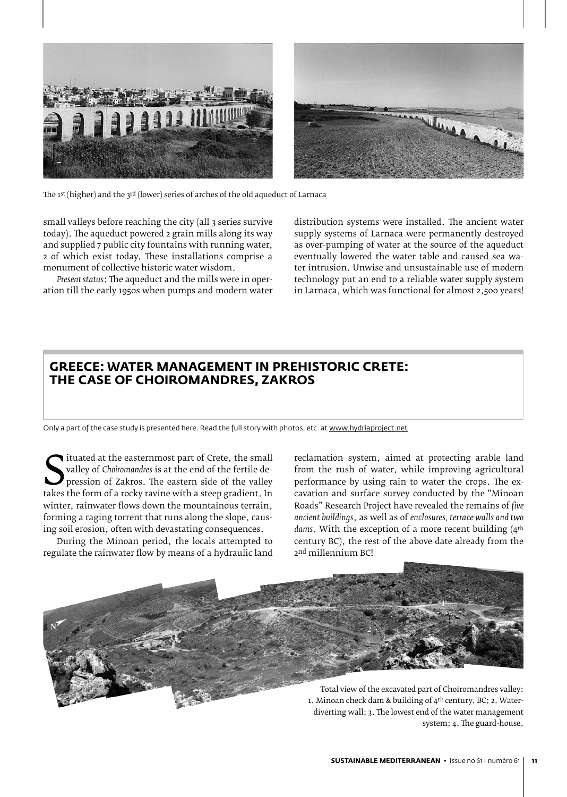

The 1st (higher) and the 3rd (lower) series of arches of the old aqueduct of Larnaca

small valleys before reaching the city (all 3 series survive today). The aqueduct powered 2 grain mills along its way and supplied 7 public city fountains with running water, 2 of which exist today. These installations comprise a monument of collective historic water wisdom.

*Present status*: The aqueduct and the mills were in operation till the early 1950s when pumps and modern water

distribution systems were installed. The ancient water supply systems of Larnaca were permanently destroyed as over-pumping of water at the source of the aqueduct eventually lowered the water table and caused sea water intrusion. Unwise and unsustainable use of modern technology put an end to a reliable water supply system in Larnaca, which was functional for almost 2,500 years!

### **Greece: Water Management in Prehistoric Crete: The case of Choiromandres, Zakros**

Only a part of the case study is presented here. Read the full story with photos, etc. at www.hydriaproject.net

Valley of Choiromandres is at the end of the fertile depression of Zakros. The eastern side of the valley takes the form of a rocky ravine with a steep gradient. In winter-rainwater flows down the mountainous terrain ituated at the easternmost part of Crete, the small valley of *Choiromandres* is at the end of the fertile depression of Zakros. The eastern side of the valley winter, rainwater flows down the mountainous terrain, forming a raging torrent that runs along the slope, causing soil erosion, often with devastating consequences.

During the Minoan period, the locals attempted to regulate the rainwater flow by means of a hydraulic land

reclamation system, aimed at protecting arable land from the rush of water, while improving agricultural performance by using rain to water the crops. The excavation and surface survey conducted by the "Minoan Roads" Research Project have revealed the remains of *five ancient buildings*, as well as of *enclosures, terrace walls and two dams*. With the exception of a more recent building (4th century BC), the rest of the above date already from the 2nd millennium BC!



1. Minoan check dam & building of 4th century. BC; 2. Waterdiverting wall; 3. The lowest end of the water management system; 4. The guard-house.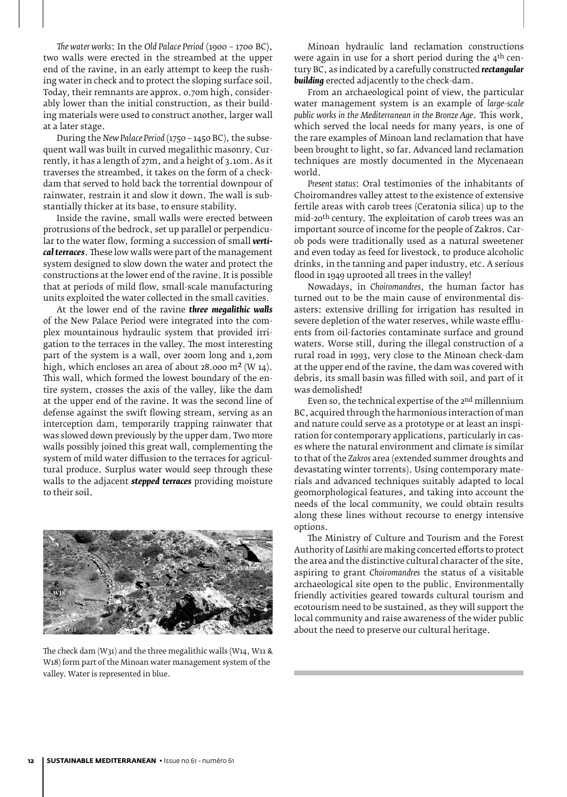*The water works*: In the *Old Palace Period* (1900 – 1700 BC), two walls were erected in the streambed at the upper end of the ravine, in an early attempt to keep the rushing water in check and to protect the sloping surface soil. Today, their remnants are approx. 0.70m high, considerably lower than the initial construction, as their building materials were used to construct another, larger wall at a later stage.

During the *New Palace Period* (1750 – 1450 BC), the subsequent wall was built in curved megalithic masonry. Currently, it has a length of 27m, and a height of 3.10m. As it traverses the streambed, it takes on the form of a checkdam that served to hold back the torrential downpour of rainwater, restrain it and slow it down. The wall is substantially thicker at its base, to ensure stability.

Inside the ravine, small walls were erected between protrusions of the bedrock, set up parallel or perpendicular to the water flow, forming a succession of small *vertical terraces*. These low walls were part of the management system designed to slow down the water and protect the constructions at the lower end of the ravine. It is possible that at periods of mild flow, small-scale manufacturing units exploited the water collected in the small cavities.

At the lower end of the ravine *three megalithic walls* of the New Palace Period were integrated into the complex mountainous hydraulic system that provided irrigation to the terraces in the valley. The most interesting part of the system is a wall, over 200m long and 1,20m high, which encloses an area of about 28.000 m<sup>2</sup> (W 14). This wall, which formed the lowest boundary of the entire system, crosses the axis of the valley, like the dam at the upper end of the ravine. It was the second line of defense against the swift flowing stream, serving as an interception dam, temporarily trapping rainwater that was slowed down previously by the upper dam. Two more walls possibly joined this great wall, complementing the system of mild water diffusion to the terraces for agricultural produce. Surplus water would seep through these walls to the adjacent *stepped terraces* providing moisture to their soil.



The check dam (W31) and the three megalithic walls (W14, W11 & W18) form part of the Minoan water management system of the valley. Water is represented in blue.

Minoan hydraulic land reclamation constructions were again in use for a short period during the  $4<sup>th</sup>$  century BC, as indicated by a carefully constructed *rectangular building* erected adjacently to the check-dam.

From an archaeological point of view, the particular water management system is an example of *large-scale public works in the Mediterranean in the Bronze Age*. This work, which served the local needs for many years, is one of the rare examples of Minoan land reclamation that have been brought to light, so far. Advanced land reclamation techniques are mostly documented in the Mycenaean world.

*Present status*: Oral testimonies of the inhabitants of Choiromandres valley attest to the existence of extensive fertile areas with carob trees (Ceratonia silica) up to the mid-20th century. The exploitation of carob trees was an important source of income for the people of Zakros. Carob pods were traditionally used as a natural sweetener and even today as feed for livestock, to produce alcoholic drinks, in the tanning and paper industry, etc. A serious flood in 1949 uprooted all trees in the valley!

Nowadays, in *Choiromandres*, the human factor has turned out to be the main cause of environmental disasters: extensive drilling for irrigation has resulted in severe depletion of the water reserves, while waste effluents from oil-factories contaminate surface and ground waters. Worse still, during the illegal construction of a rural road in 1993, very close to the Minoan check-dam at the upper end of the ravine, the dam was covered with debris, its small basin was filled with soil, and part of it was demolished!

Even so, the technical expertise of the 2nd millennium BC, acquired through the harmonious interaction of man and nature could serve as a prototype or at least an inspiration for contemporary applications, particularly in cases where the natural environment and climate is similar to that of the *Zakros* area (extended summer droughts and devastating winter torrents). Using contemporary materials and advanced techniques suitably adapted to local geomorphological features, and taking into account the needs of the local community, we could obtain results along these lines without recourse to energy intensive options.

The Ministry of Culture and Tourism and the Forest Authority of *Lasithi* are making concerted efforts to protect the area and the distinctive cultural character of the site, aspiring to grant *Choiromandres* the status of a visitable archaeological site open to the public. Environmentally friendly activities geared towards cultural tourism and ecotourism need to be sustained, as they will support the local community and raise awareness of the wider public about the need to preserve our cultural heritage.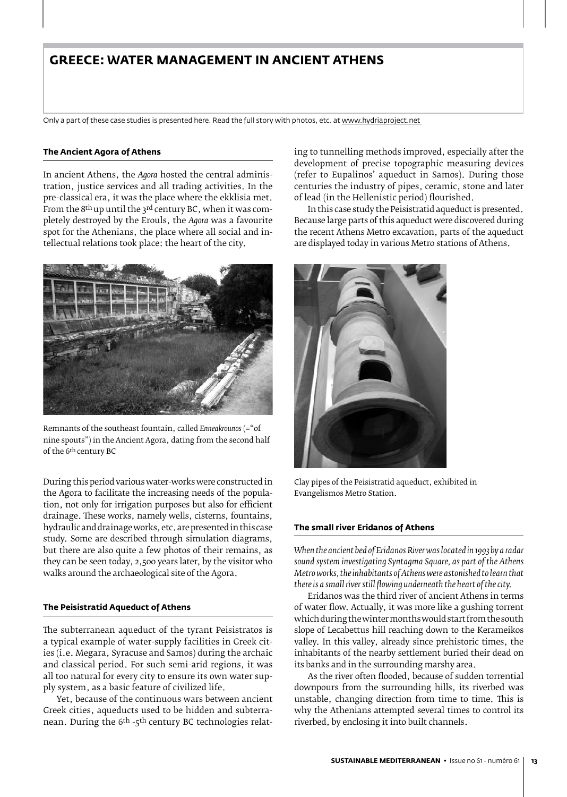### **Greece: Water Management in Ancient Athens**

Only a part of these case studies is presented here. Read the full story with photos, etc. at www.hydriaproject.net

#### **The Ancient Agora of Athens**

In ancient Athens, the *Agora* hosted the central administration, justice services and all trading activities. In the pre-classical era, it was the place where the ekklisia met. From the 8<sup>th</sup> up until the 3<sup>rd</sup> century BC, when it was completely destroyed by the Erouls, the *Agora* was a favourite spot for the Athenians, the place where all social and intellectual relations took place: the heart of the city.



Remnants of the southeast fountain, called *Enneakrounos* (="of nine spouts") in the Ancient Agora, dating from the second half of the 6th century BC

During this period various water-works were constructed in the Agora to facilitate the increasing needs of the population, not only for irrigation purposes but also for efficient drainage. These works, namely wells, cisterns, fountains, hydraulic and drainage works, etc. are presented in this case study. Some are described through simulation diagrams, but there are also quite a few photos of their remains, as they can be seen today, 2,500 years later, by the visitor who walks around the archaeological site of the Agora.

### **The Peisistratid Aqueduct of Athens**

The subterranean aqueduct of the tyrant Peisistratos is a typical example of water-supply facilities in Greek cities (i.e. Megara, Syracuse and Samos) during the archaic and classical period. For such semi-arid regions, it was all too natural for every city to ensure its own water supply system, as a basic feature of civilized life.

Yet, because of the continuous wars between ancient Greek cities, aqueducts used to be hidden and subterranean. During the 6<sup>th</sup> -5<sup>th</sup> century BC technologies relating to tunnelling methods improved, especially after the development of precise topographic measuring devices (refer to Eupalinos' aqueduct in Samos). During those centuries the industry of pipes, ceramic, stone and later of lead (in the Hellenistic period) flourished.

In this case study the Peisistratid aqueduct is presented. Because large parts of this aqueduct were discovered during the recent Athens Metro excavation, parts of the aqueduct are displayed today in various Metro stations of Athens.



Clay pipes of the Peisistratid aqueduct, exhibited in Evangelismos Metro Station.

### **The small river Eridanos of Athens**

*When the ancient bed of Eridanos River was located in 1993 by a radar sound system investigating Syntagma Square, as part of the Athens Metro works, the inhabitants of Athens were astonished to learn that there is a small river still flowing underneath the heart of the city.*

Eridanos was the third river of ancient Athens in terms of water flow. Actually, it was more like a gushing torrent which during the winter months would start from the south slope of Lecabettus hill reaching down to the Kerameikos valley. In this valley, already since prehistoric times, the inhabitants of the nearby settlement buried their dead on its banks and in the surrounding marshy area.

As the river often flooded, because of sudden torrential downpours from the surrounding hills, its riverbed was unstable, changing direction from time to time. This is why the Athenians attempted several times to control its riverbed, by enclosing it into built channels.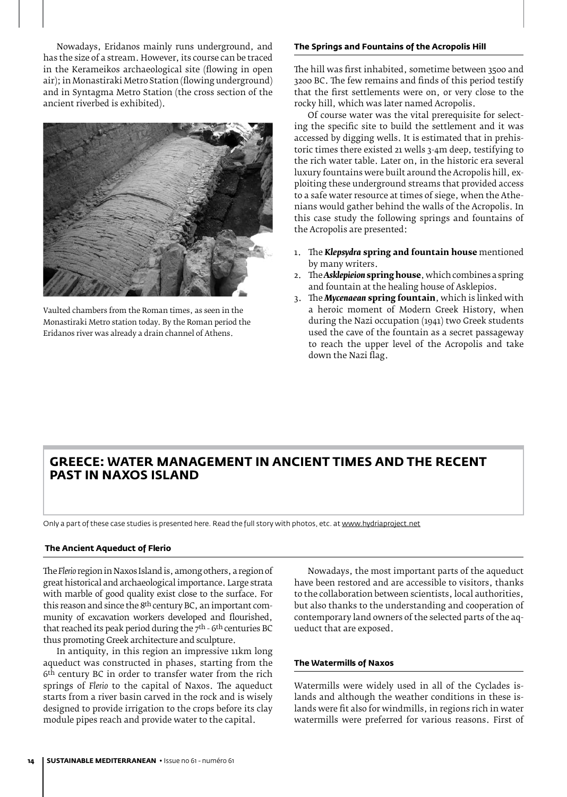Nowadays, Eridanos mainly runs underground, and has the size of a stream. However, its course can be traced in the Kerameikos archaeological site (flowing in open air); in Monastiraki Metro Station (flowing underground) and in Syntagma Metro Station (the cross section of the ancient riverbed is exhibited).



Vaulted chambers from the Roman times, as seen in the Monastiraki Metro station today. By the Roman period the Eridanos river was already a drain channel of Athens.

### **The Springs and Fountains of the Acropolis Hill**

The hill was first inhabited, sometime between 3500 and 3200 BC. The few remains and finds of this period testify that the first settlements were on, or very close to the rocky hill, which was later named Acropolis.

Of course water was the vital prerequisite for selecting the specific site to build the settlement and it was accessed by digging wells. It is estimated that in prehistoric times there existed 21 wells 3-4m deep, testifying to the rich water table. Later on, in the historic era several luxury fountains were built around the Acropolis hill, exploiting these underground streams that provided access to a safe water resource at times of siege, when the Athenians would gather behind the walls of the Acropolis. In this case study the following springs and fountains of the Acropolis are presented:

- 1. The *Klepsydra* **spring and fountain house** mentioned by many writers.
- 2. The *Asklepieion* **spring house**, which combines a spring and fountain at the healing house of Asklepios.
- 3. The *Mycenaean* **spring fountain**, which is linked with a heroic moment of Modern Greek History, when during the Nazi occupation (1941) two Greek students used the cave of the fountain as a secret passageway to reach the upper level of the Acropolis and take down the Nazi flag.

### **Greece: Water management in ancient times and the recent past in Naxos Island**

Only a part of these case studies is presented here. Read the full story with photos, etc. at www.hydriaproject.net

#### **The Ancient Aqueduct of Flerio**

The *Flerio* region in Naxos Island is, among others, a region of great historical and archaeological importance. Large strata with marble of good quality exist close to the surface. For this reason and since the 8th century BC, an important community of excavation workers developed and flourished, that reached its peak period during the  $7<sup>th</sup>$  - 6<sup>th</sup> centuries BC thus promoting Greek architecture and sculpture.

In antiquity, in this region an impressive 11km long aqueduct was constructed in phases, starting from the 6<sup>th</sup> century BC in order to transfer water from the rich springs of *Flerio* to the capital of Naxos. The aqueduct starts from a river basin carved in the rock and is wisely designed to provide irrigation to the crops before its clay module pipes reach and provide water to the capital.

Nowadays, the most important parts of the aqueduct have been restored and are accessible to visitors, thanks to the collaboration between scientists, local authorities, but also thanks to the understanding and cooperation of contemporary land owners of the selected parts of the aqueduct that are exposed.

### **The Watermills of Naxos**

Watermills were widely used in all of the Cyclades islands and although the weather conditions in these islands were fit also for windmills, in regions rich in water watermills were preferred for various reasons. First of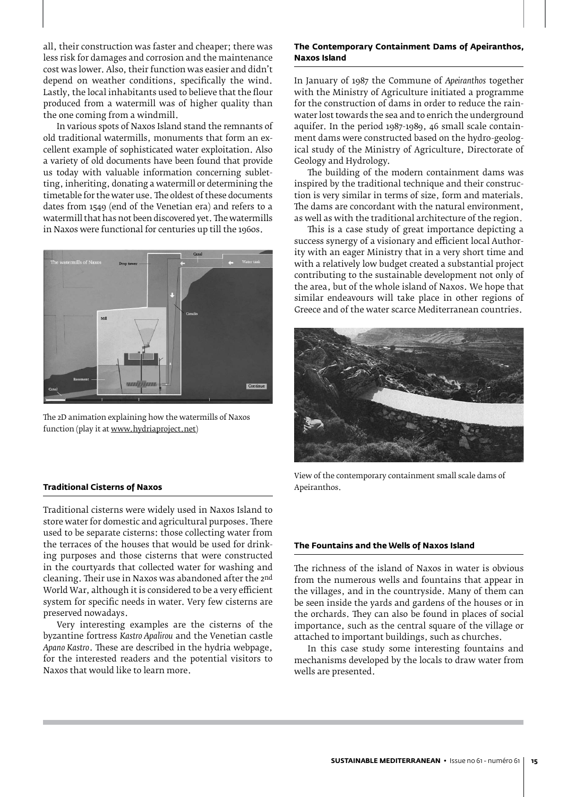all, their construction was faster and cheaper; there was less risk for damages and corrosion and the maintenance cost was lower. Also, their function was easier and didn't depend on weather conditions, specifically the wind. Lastly, the local inhabitants used to believe that the flour produced from a watermill was of higher quality than the one coming from a windmill.

In various spots of Naxos Island stand the remnants of old traditional watermills, monuments that form an excellent example of sophisticated water exploitation. Also a variety of old documents have been found that provide us today with valuable information concerning sublet-<br>ting, inheriting, donating a watermill or determining the ting, inheriting, donating a watermill or determining the timetable for the water use. The oldest of these documents dates from 1549 (end of the Venetian era) and refers to a watermill that has not been discovered yet. The watermills in Naxos were functional for centuries up till the 1960s.



The 2D animation explaining how the watermills of Naxos function (play it at www.hydriaproject.net)

#### **Traditional Cisterns of Naxos**

Traditional cisterns were widely used in Naxos Island to store water for domestic and agricultural purposes. There used to be separate cisterns: those collecting water from the terraces of the houses that would be used for drinking purposes and those cisterns that were constructed in the courtyards that collected water for washing and cleaning. Their use in Naxos was abandoned after the 2nd World War, although it is considered to be a very efficient system for specific needs in water. Very few cisterns are preserved nowadays.

Very interesting examples are the cisterns of the byzantine fortress *Kastro Apalirou* and the Venetian castle *Apano Kastro*. These are described in the hydria webpage, for the interested readers and the potential visitors to Naxos that would like to learn more.

### **The Contemporary Containment Dams of Apeiranthos, Naxos Island**

In January of 1987 the Commune of *Apeiranthos* together with the Ministry of Agriculture initiated a programme for the construction of dams in order to reduce the rainwater lost towards the sea and to enrich the underground aquifer. In the period 1987-1989, 46 small scale containment dams were constructed based on the hydro-geological study of the Ministry of Agriculture, Directorate of Geology and Hydrology.

The building of the modern containment dams was inspired by the traditional technique and their construction is very similar in terms of size, form and materials. The dams are concordant with the natural environment, as well as with the traditional architecture of the region.

This is a case study of great importance depicting a success synergy of a visionary and efficient local Authority with an eager Ministry that in a very short time and with a relatively low budget created a substantial project contributing to the sustainable development not only of the area, but of the whole island of Naxos. We hope that similar endeavours will take place in other regions of Greece and of the water scarce Mediterranean countries.



View of the contemporary containment small scale dams of Apeiranthos.

### **The Fountains and the Wells of Naxos Island**

The richness of the island of Naxos in water is obvious from the numerous wells and fountains that appear in the villages, and in the countryside. Many of them can be seen inside the yards and gardens of the houses or in the orchards. They can also be found in places of social importance, such as the central square of the village or attached to important buildings, such as churches.

In this case study some interesting fountains and mechanisms developed by the locals to draw water from wells are presented.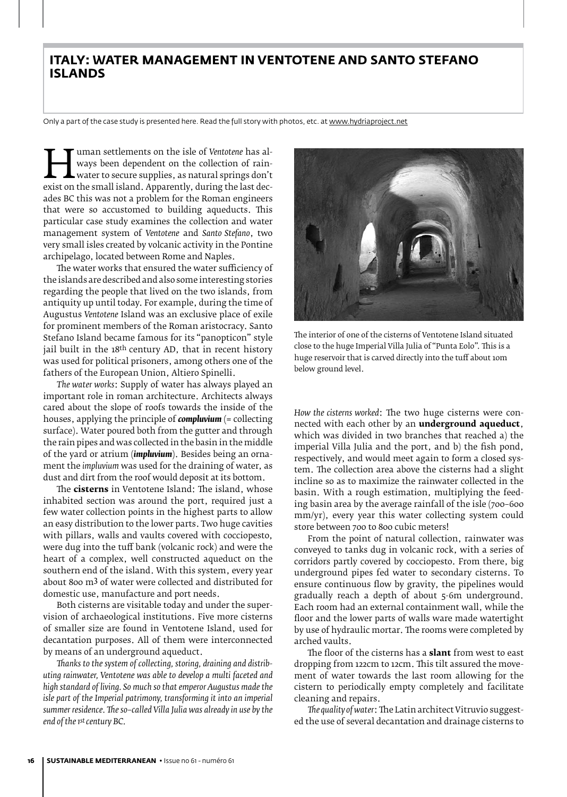### **Italy: Water management in Ventotene and Santo Stefano Islands**

Only a part of the case study is presented here. Read the full story with photos, etc. at www.hydriaproject.net

ways been dependent on the collection of rain-<br>water to secure supplies, as natural springs don't<br>exist on the small island. Apparently, during the last dec-<br>ades BC this was not a problem for the Boman engineers ways been dependent on the collection of rainwater to secure supplies, as natural springs don't ades BC this was not a problem for the Roman engineers that were so accustomed to building aqueducts. This particular case study examines the collection and water management system of *Ventotene* and *Santo Stefano*, two very small isles created by volcanic activity in the Pontine archipelago, located between Rome and Naples.

The water works that ensured the water sufficiency of the islands are described and also some interesting stories regarding the people that lived on the two islands, from antiquity up until today. For example, during the time of Augustus *Ventotene* Island was an exclusive place of exile for prominent members of the Roman aristocracy. Santo Stefano Island became famous for its "panopticon" style jail built in the 18<sup>th</sup> century AD, that in recent history was used for political prisoners, among others one of the fathers of the European Union, Altiero Spinelli.

*The water works*: Supply of water has always played an important role in roman architecture. Architects always cared about the slope of roofs towards the inside of the houses, applying the principle of *compluvium* (= collecting surface). Water poured both from the gutter and through the rain pipes and was collected in the basin in the middle of the yard or atrium (*impluvium*). Besides being an ornament the *impluvium* was used for the draining of water, as dust and dirt from the roof would deposit at its bottom.

The **cisterns** in Ventotene Island: The island, whose inhabited section was around the port, required just a few water collection points in the highest parts to allow an easy distribution to the lower parts. Two huge cavities with pillars, walls and vaults covered with cocciopesto, were dug into the tuff bank (volcanic rock) and were the heart of a complex, well constructed aqueduct on the southern end of the island. With this system, every year about 800 m3 of water were collected and distributed for domestic use, manufacture and port needs.

Both cisterns are visitable today and under the supervision of archaeological institutions. Five more cisterns of smaller size are found in Ventotene Island, used for decantation purposes. All of them were interconnected by means of an underground aqueduct.

*Thanks to the system of collecting, storing, draining and distributing rainwater, Ventotene was able to develop a multi faceted and high standard of living. So much so that emperor Augustus made the isle part of the Imperial patrimony, transforming it into an imperial summer residence. The so–called Villa Julia was already in use by the end of the 1st century BC.* 



The interior of one of the cisterns of Ventotene Island situated close to the huge Imperial Villa Julia of"Punta Eolo". This is a huge reservoir that is carved directly into the tuff about 10m below ground level.

*How the cisterns worked*: The two huge cisterns were connected with each other by an **underground aqueduct**, which was divided in two branches that reached a) the imperial Villa Julia and the port, and b) the fish pond, respectively, and would meet again to form a closed system. The collection area above the cisterns had a slight incline so as to maximize the rainwater collected in the basin. With a rough estimation, multiplying the feeding basin area by the average rainfall of the isle (700–600 mm/yr), every year this water collecting system could store between 700 to 800 cubic meters!

From the point of natural collection, rainwater was conveyed to tanks dug in volcanic rock, with a series of corridors partly covered by cocciopesto. From there, big underground pipes fed water to secondary cisterns. To ensure continuous flow by gravity, the pipelines would gradually reach a depth of about 5-6m underground. Each room had an external containment wall, while the floor and the lower parts of walls ware made watertight by use of hydraulic mortar. The rooms were completed by arched vaults.

The floor of the cisterns has a **slant** from west to east dropping from 122cm to 12cm. This tilt assured the movement of water towards the last room allowing for the cistern to periodically empty completely and facilitate cleaning and repairs.

*The quality of water*: The Latin architect Vitruvio suggested the use of several decantation and drainage cisterns to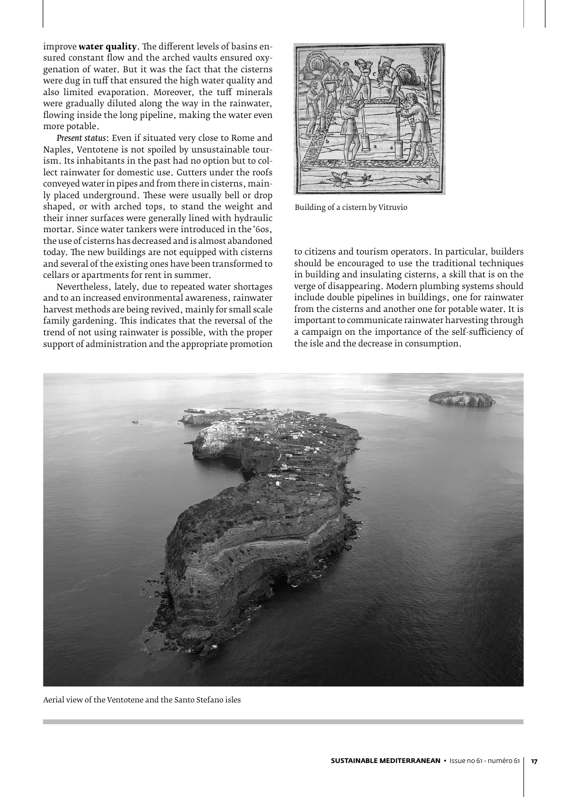improve **water quality**. The different levels of basins ensured constant flow and the arched vaults ensured oxygenation of water. But it was the fact that the cisterns were dug in tuff that ensured the high water quality and also limited evaporation. Moreover, the tuff minerals were gradually diluted along the way in the rainwater, flowing inside the long pipeline, making the water even more potable.

*Present status*: Even if situated very close to Rome and Naples, Ventotene is not spoiled by unsustainable tourism. Its inhabitants in the past had no option but to collect rainwater for domestic use. Gutters under the roofs conveyed water in pipes and from there in cisterns, mainly placed underground. These were usually bell or drop shaped, or with arched tops, to stand the weight and their inner surfaces were generally lined with hydraulic mortar. Since water tankers were introduced in the '60s, the use of cisterns has decreased and is almost abandoned today. The new buildings are not equipped with cisterns and several of the existing ones have been transformed to cellars or apartments for rent in summer.

Nevertheless, lately, due to repeated water shortages and to an increased environmental awareness, rainwater harvest methods are being revived, mainly for small scale family gardening. This indicates that the reversal of the trend of not using rainwater is possible, with the proper support of administration and the appropriate promotion



Building of a cistern by Vitruvio

to citizens and tourism operators. In particular, builders should be encouraged to use the traditional techniques in building and insulating cisterns, a skill that is on the verge of disappearing. Modern plumbing systems should include double pipelines in buildings, one for rainwater from the cisterns and another one for potable water. It is important to communicate rainwater harvesting through a campaign on the importance of the self-sufficiency of the isle and the decrease in consumption.



Aerial view of the Ventotene and the Santo Stefano isles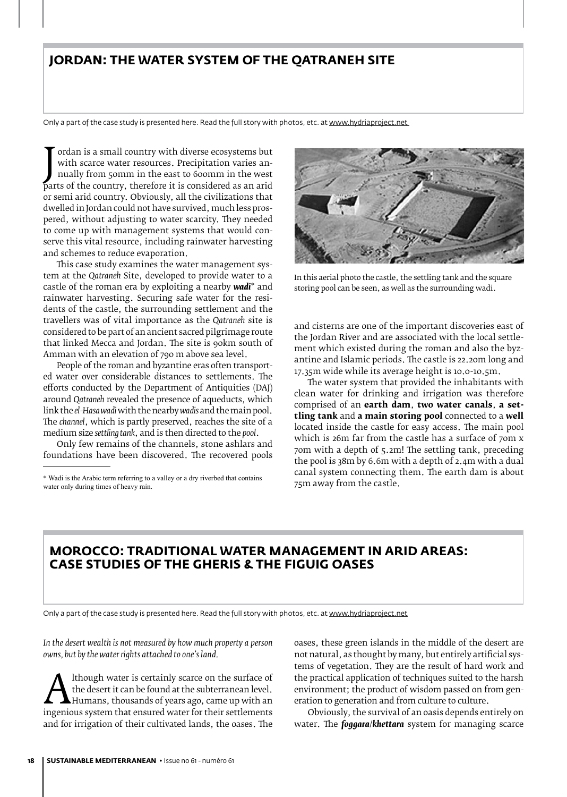### **Jordan: The Water System of the Qatraneh Site**

Only a part of the case study is presented here. Read the full story with photos, etc. at www.hydriaproject.net

with scarce water resources. Precipitation varies annually from 50mm in the east to 600mm in the west<br>parts of the country, therefore it is considered as an arid<br>or somi arid country. Obviously, all the civilizations that ordan is a small country with diverse ecosystems but with scarce water resources. Precipitation varies annually from 50mm in the east to 600mm in the west or semi arid country. Obviously, all the civilizations that dwelled in Jordan could not have survived, much less prospered, without adjusting to water scarcity. They needed to come up with management systems that would conserve this vital resource, including rainwater harvesting and schemes to reduce evaporation.

This case study examines the water management system at the *Qatraneh* Site, developed to provide water to a castle of the roman era by exploiting a nearby *wadi*\* and rainwater harvesting. Securing safe water for the residents of the castle, the surrounding settlement and the travellers was of vital importance as the *Qatraneh* site is considered to be part of an ancient sacred pilgrimage route that linked Mecca and Jordan. The site is 90km south of Amman with an elevation of 790 m above sea level.

People of the roman and byzantine eras often transported water over considerable distances to settlements. The efforts conducted by the Department of Antiquities (DAJ) around *Qatraneh* revealed the presence of aqueducts, which link the *el-Hasa wadi* with the nearby *wadis* and the main pool. The *channel*, which is partly preserved, reaches the site of a medium size *settling tank*, and is then directed to the *pool*.

Only few remains of the channels, stone ashlars and foundations have been discovered. The recovered pools



In this aerial photo the castle, the settling tank and the square storing pool can be seen, as well as the surrounding wadi.

and cisterns are one of the important discoveries east of the Jordan River and are associated with the local settlement which existed during the roman and also the byzantine and Islamic periods. The castle is 22.20m long and 17.35m wide while its average height is 10.0-10.5m.

The water system that provided the inhabitants with clean water for drinking and irrigation was therefore comprised of an **earth dam**, **two water canals**, **a settling tank** and **a main storing pool** connected to a **well** located inside the castle for easy access. The main pool which is 26m far from the castle has a surface of 70m x 70m with a depth of 5.2m! The settling tank, preceding the pool is 38m by 6.6m with a depth of 2.4m with a dual canal system connecting them. The earth dam is about 75m away from the castle.

### **Morocco: Traditional water management in arid areas: Case studies of the Gheris & the Figuig oases**

Only a part of the case study is presented here. Read the full story with photos, etc. at www.hydriaproject.net

*In the desert wealth is not measured by how much property a person owns, but by the water rights attached to one's land.*

Although water is certainly scarce on the surface of<br>the desert it can be found at the subterranean level.<br>ingenious system that ensured water for their settlements<br>and for irrigation of their cultivated lands, the oases. the desert it can be found at the subterranean level. Humans, thousands of years ago, came up with an and for irrigation of their cultivated lands, the oases. The oases, these green islands in the middle of the desert are not natural, as thought by many, but entirely artificial systems of vegetation. They are the result of hard work and the practical application of techniques suited to the harsh environment; the product of wisdom passed on from generation to generation and from culture to culture.

Obviously, the survival of an oasis depends entirely on water. The *foggara*/*khettara* system for managing scarce

<sup>\*</sup> Wadi is the Arabic term referring to a valley or a dry riverbed that contains water only during times of heavy rain.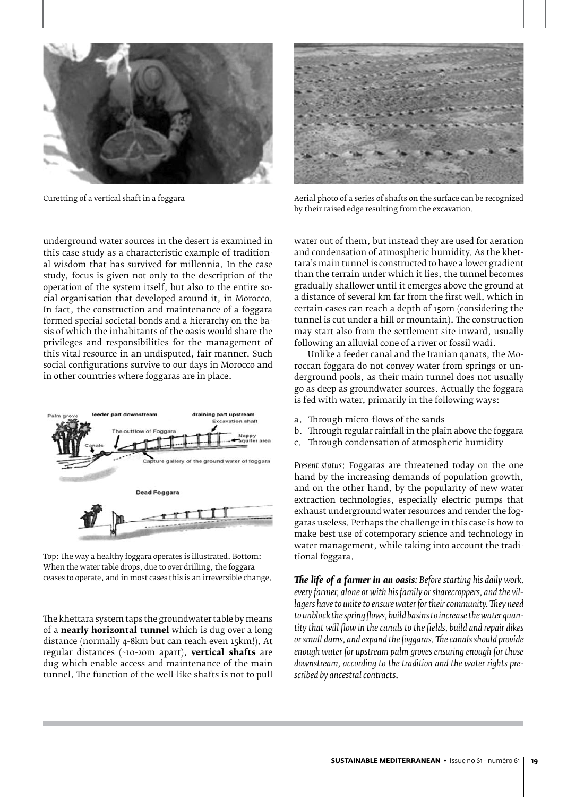

underground water sources in the desert is examined in this case study as a characteristic example of traditional wisdom that has survived for millennia. In the case study, focus is given not only to the description of the operation of the system itself, but also to the entire social organisation that developed around it, in Morocco. In fact, the construction and maintenance of a foggara formed special societal bonds and a hierarchy on the basis of which the inhabitants of the oasis would share the privileges and responsibilities for the management of this vital resource in an undisputed, fair manner. Such social configurations survive to our days in Morocco and in other countries where foggaras are in place.



Top: The way a healthy foggara operates is illustrated. Bottom: When the water table drops, due to over drilling, the foggara ceases to operate, and in most cases this is an irreversible change.

The khettara system taps the groundwater table by means of a **nearly horizontal tunnel** which is dug over a long distance (normally 4-8km but can reach even 15km!). At regular distances (~10-20m apart), **vertical shafts** are dug which enable access and maintenance of the main tunnel. The function of the well-like shafts is not to pull



Curetting of a vertical shaft in a foggara Aerial photo of a series of shafts on the surface can be recognized by their raised edge resulting from the excavation.

water out of them, but instead they are used for aeration and condensation of atmospheric humidity. As the khettara's main tunnel is constructed to have a lower gradient than the terrain under which it lies, the tunnel becomes gradually shallower until it emerges above the ground at a distance of several km far from the first well, which in certain cases can reach a depth of 150m (considering the tunnel is cut under a hill or mountain). The construction may start also from the settlement site inward, usually following an alluvial cone of a river or fossil wadi.

Unlike a feeder canal and the Iranian qanats, the Moroccan foggara do not convey water from springs or underground pools, as their main tunnel does not usually go as deep as groundwater sources. Actually the foggara is fed with water, primarily in the following ways:

- a. Through micro-flows of the sands
- b. Through regular rainfall in the plain above the foggara
- c. Through condensation of atmospheric humidity

*Present status*: Foggaras are threatened today on the one hand by the increasing demands of population growth, and on the other hand, by the popularity of new water extraction technologies, especially electric pumps that exhaust underground water resources and render the foggaras useless. Perhaps the challenge in this case is how to make best use of cotemporary science and technology in water management, while taking into account the traditional foggara.

*The life of a farmer in an oasis: Before starting his daily work, every farmer, alone or with his family or sharecroppers, and the villagers have to unite to ensure water for their community. They need to unblock the spring flows, build basins to increase the water quantity that will flow in the canals to the fields, build and repair dikes or small dams, and expand the foggaras. The canals should provide enough water for upstream palm groves ensuring enough for those downstream, according to the tradition and the water rights prescribed by ancestral contracts.*